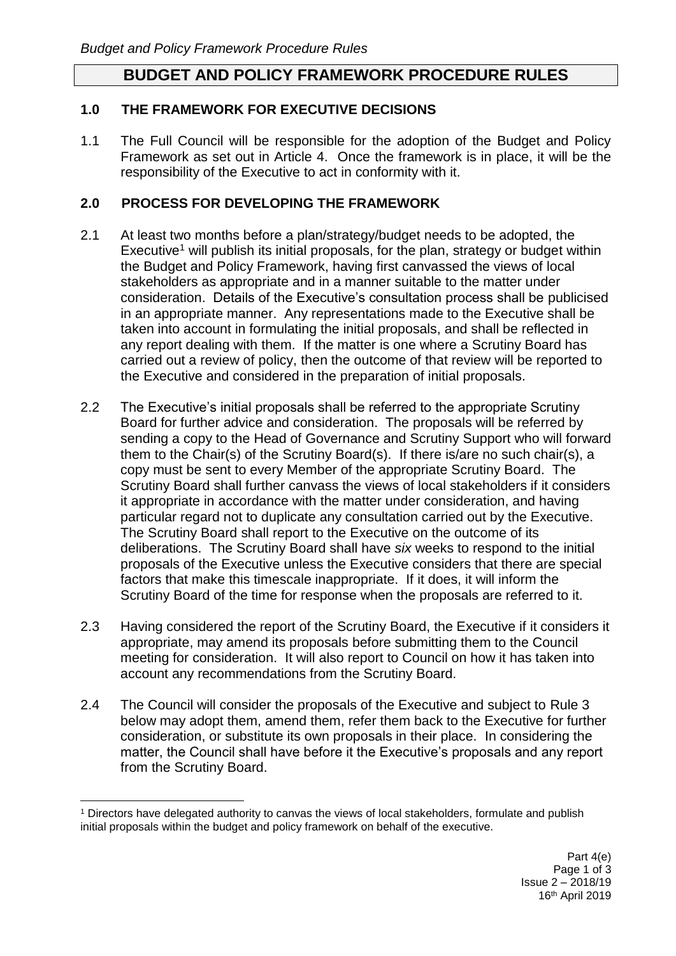## **BUDGET AND POLICY FRAMEWORK PROCEDURE RULES**

### **1.0 THE FRAMEWORK FOR EXECUTIVE DECISIONS**

1.1 The Full Council will be responsible for the adoption of the Budget and Policy Framework as set out in Article 4. Once the framework is in place, it will be the responsibility of the Executive to act in conformity with it.

### **2.0 PROCESS FOR DEVELOPING THE FRAMEWORK**

- 2.1 At least two months before a plan/strategy/budget needs to be adopted, the Executive<sup>1</sup> will publish its initial proposals, for the plan, strategy or budget within the Budget and Policy Framework, having first canvassed the views of local stakeholders as appropriate and in a manner suitable to the matter under consideration. Details of the Executive's consultation process shall be publicised in an appropriate manner. Any representations made to the Executive shall be taken into account in formulating the initial proposals, and shall be reflected in any report dealing with them. If the matter is one where a Scrutiny Board has carried out a review of policy, then the outcome of that review will be reported to the Executive and considered in the preparation of initial proposals.
- 2.2 The Executive's initial proposals shall be referred to the appropriate Scrutiny Board for further advice and consideration. The proposals will be referred by sending a copy to the Head of Governance and Scrutiny Support who will forward them to the Chair(s) of the Scrutiny Board(s). If there is/are no such chair(s), a copy must be sent to every Member of the appropriate Scrutiny Board. The Scrutiny Board shall further canvass the views of local stakeholders if it considers it appropriate in accordance with the matter under consideration, and having particular regard not to duplicate any consultation carried out by the Executive. The Scrutiny Board shall report to the Executive on the outcome of its deliberations. The Scrutiny Board shall have *six* weeks to respond to the initial proposals of the Executive unless the Executive considers that there are special factors that make this timescale inappropriate. If it does, it will inform the Scrutiny Board of the time for response when the proposals are referred to it.
- 2.3 Having considered the report of the Scrutiny Board, the Executive if it considers it appropriate, may amend its proposals before submitting them to the Council meeting for consideration. It will also report to Council on how it has taken into account any recommendations from the Scrutiny Board*.*
- 2.4 The Council will consider the proposals of the Executive and subject to Rule 3 below may adopt them, amend them, refer them back to the Executive for further consideration, or substitute its own proposals in their place. In considering the matter, the Council shall have before it the Executive's proposals and any report from the Scrutiny Board.

 $\overline{a}$ <sup>1</sup> Directors have delegated authority to canvas the views of local stakeholders, formulate and publish initial proposals within the budget and policy framework on behalf of the executive.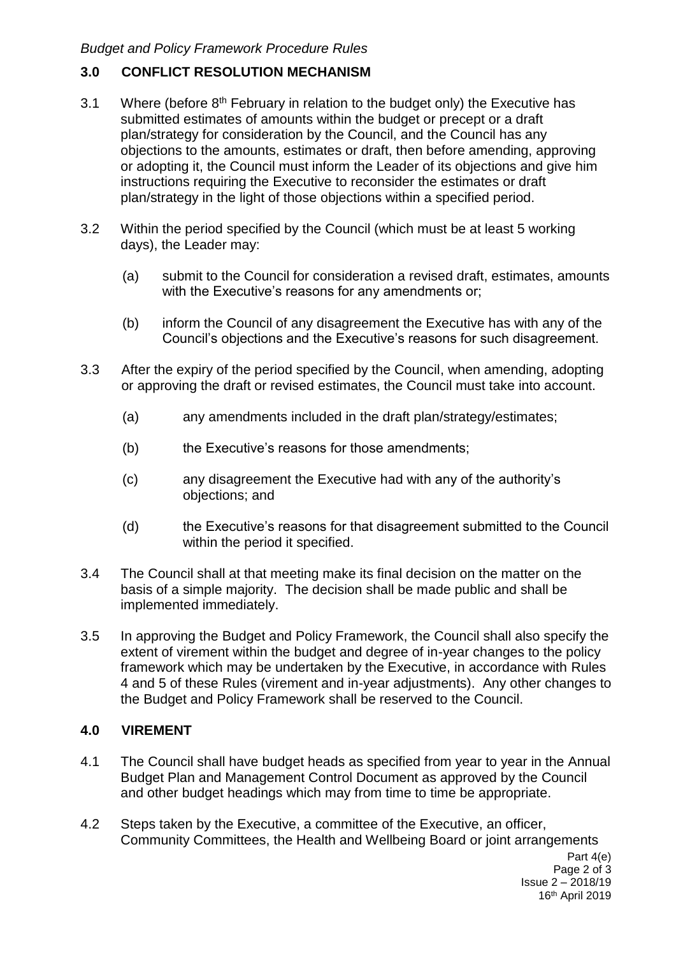# **3.0 CONFLICT RESOLUTION MECHANISM**

- 3.1 Where (before  $8<sup>th</sup>$  February in relation to the budget only) the Executive has submitted estimates of amounts within the budget or precept or a draft plan/strategy for consideration by the Council, and the Council has any objections to the amounts, estimates or draft, then before amending, approving or adopting it, the Council must inform the Leader of its objections and give him instructions requiring the Executive to reconsider the estimates or draft plan/strategy in the light of those objections within a specified period.
- 3.2 Within the period specified by the Council (which must be at least 5 working days), the Leader may:
	- (a) submit to the Council for consideration a revised draft, estimates, amounts with the Executive's reasons for any amendments or;
	- (b) inform the Council of any disagreement the Executive has with any of the Council's objections and the Executive's reasons for such disagreement.
- 3.3 After the expiry of the period specified by the Council, when amending, adopting or approving the draft or revised estimates, the Council must take into account.
	- (a) any amendments included in the draft plan/strategy/estimates;
	- (b) the Executive's reasons for those amendments;
	- (c) any disagreement the Executive had with any of the authority's objections; and
	- (d) the Executive's reasons for that disagreement submitted to the Council within the period it specified.
- 3.4 The Council shall at that meeting make its final decision on the matter on the basis of a simple majority. The decision shall be made public and shall be implemented immediately.
- 3.5 In approving the Budget and Policy Framework, the Council shall also specify the extent of virement within the budget and degree of in-year changes to the policy framework which may be undertaken by the Executive, in accordance with Rules 4 and 5 of these Rules (virement and in-year adjustments). Any other changes to the Budget and Policy Framework shall be reserved to the Council.

## **4.0 VIREMENT**

- 4.1 The Council shall have budget heads as specified from year to year in the Annual Budget Plan and Management Control Document as approved by the Council and other budget headings which may from time to time be appropriate.
- 4.2 Steps taken by the Executive, a committee of the Executive, an officer, Community Committees, the Health and Wellbeing Board or joint arrangements